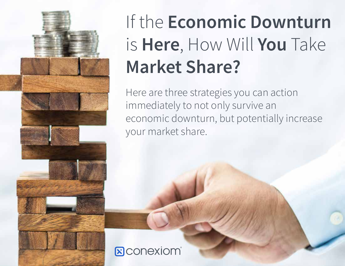

# If the Economic Downturn is Here, How Will You Take **Market Share?**

Here are three strategies you can action immediately to not only survive an economic downturn, but potentially increase your market share.

#### **E** conexiom®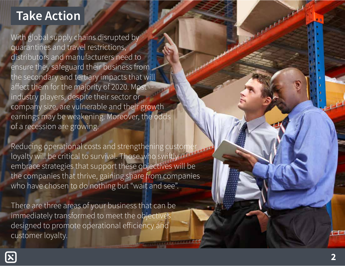# **Take Action**

With global supply chains disrupted by quarantines and travel restrictions, distributors and manufacturers need to ensure they safeguard their business from the secondary and tertiary impacts that will affect them for the majority of 2020. Most industry players, despite their sector or company size, are vulnerable and their growth earnings may be weakening. Moreover, the odds of a recession are growing.

Reducing operational costs and strengthening custon loyalty will be critical to survival. Those who swiftly embrace strategies that support these objectives will be the companies that thrive, gaining share from companies who have chosen to do nothing but "wait and see".

There are three areas of your business that can be immediately transformed to meet the objectives designed to promote operational efficiency and customer loyalty.



**College**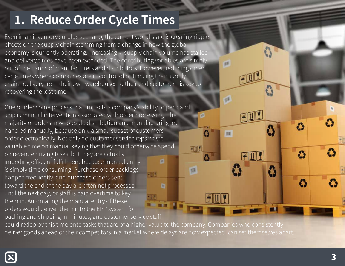## 1. Reduce Order Cycle Times

Even in an inventory surplus scenario, the current world state is creating ripple effects on the supply chain stemming from a change in how the global economy is currently operating. Increasingly, supply chain volume has stalled and delivery times have been extended. The contributing variables are simply out of the hands of manufacturers and distributors. However, reducing order cycle times where companies are in control of optimizing their supply chain--delivery from their own warehouses to their end customer-- is key to recovering the lost time.

One burdensome process that impacts a company's ability to pack and ship is manual intervention associated with order processing. The majority of orders in wholesale distribution and manufacturing are handled manually, because only a small subset of customers order electronically. Not only do customer service reps waste valuable time on manual keying that they could otherwise spend on revenue driving tasks, but they are actually impeding efficient fulfillment because manual entry ø is simply time consuming. Purchase order backlogs happen frequently, and purchase orders sent toward the end of the day are often not processed D until the next day, or staff is paid overtime to key them in. Automating the manual entry of these orders would deliver them into the ERP system for packing and shipping in minutes, and customer service staff

could redeploy this time onto tasks that are of a higher value to the company. Companies who consistently deliver goods ahead of their competitors in a market where delays are now expected, can set themselves apart.

**JAKAR** 

同山

顺

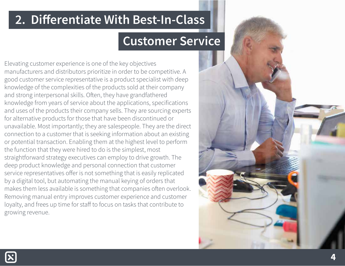#### 2. Differentiate With Best-In-Class

## **Customer Service**

Elevating customer experience is one of the key objectives manufacturers and distributors prioritize in order to be competitive. A good customer service representative is a product specialist with deep knowledge of the complexities of the products sold at their company and strong interpersonal skills. Often, they have grandfathered knowledge from years of service about the applications, specifications and uses of the products their company sells. They are sourcing experts for alternative products for those that have been discontinued or unavailable. Most importantly; they are salespeople. They are the direct connection to a customer that is seeking information about an existing or potential transaction. Enabling them at the highest level to perform the function that they were hired to do is the simplest, most straightforward strategy executives can employ to drive growth. The deep product knowledge and personal connection that customer service representatives offer is not something that is easily replicated by a digital tool, but automating the manual keying of orders that makes them less available is something that companies often overlook. Removing manual entry improves customer experience and customer loyalty, and frees up time for staff to focus on tasks that contribute to growing revenue.

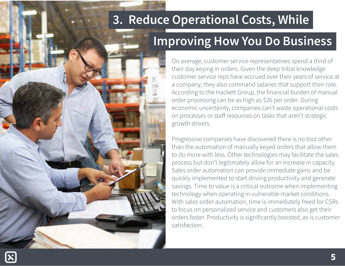# 3. Reduce Operational Costs, While

# **Improving How You Do Business**

On average, customer service representatives spend a third of their day keying in orders. Given the deep tribal knowledge customer service reps have accrued over their years of service at a company, they also command salaries that support their role. According to the Hackett Group, the financial burden of manual order processing can be as high as \$26 per order. During economic uncertainty, companies can't waste operational costs on processes or staff resources on tasks that aren't strategic growth drivers.

Progressive companies have discovered there is no tool other than the automation of manually keyed orders that allow them to do more with less. Other technologies may facilitate the sales process but don't legitimately allow for an increase in capacity. Sales order automation can provide immediate gains and be quickly implemented to start driving productivity and generate savings. Time to value is a critical outcome when implementing technology when operating in vulnerable market conditions. With sales order automation, time is immediately freed for CSRs to focus on personalized service and customers also get their orders faster. Productivity is significantly boosted, as is customer satisfaction.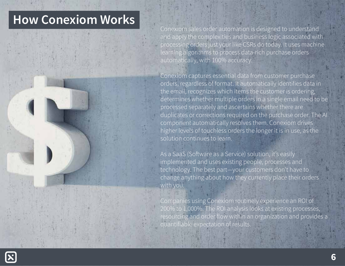# **How Conexiom Works**



Conexiom sales order automation is designed to understand and apply the complexities and business logic associated with processing orders just your like CSRs do today. It uses machine learning algorithms to process data-rich purchase orders automatically, with 100% accuracy.

Conexiom captures essential data from customer purchase orders, regardless of format. It automatically identifies data in the email, recognizes which items the customer is ordering, determines whether multiple orders in a single email need to be processed separately and ascertains whether there are duplicates or corrections required on the purchase order. The AI component automatically resolves them. Conexiom drives higher levels of touchless orders the longer it is in use, as the solution continues to learn.

As a SaaS (Software as a Service) solution, it's easily implemented and uses existing people, processes and technology. The best part-your customers don't have to change anything about how they currently place their orders with you.

Companies using Conexiom routinely experience an ROI of 200% to 1,000%. The ROI analysis looks at existing processes, resourcing and order flow within an organization and provides a quantifiable expectation of results.